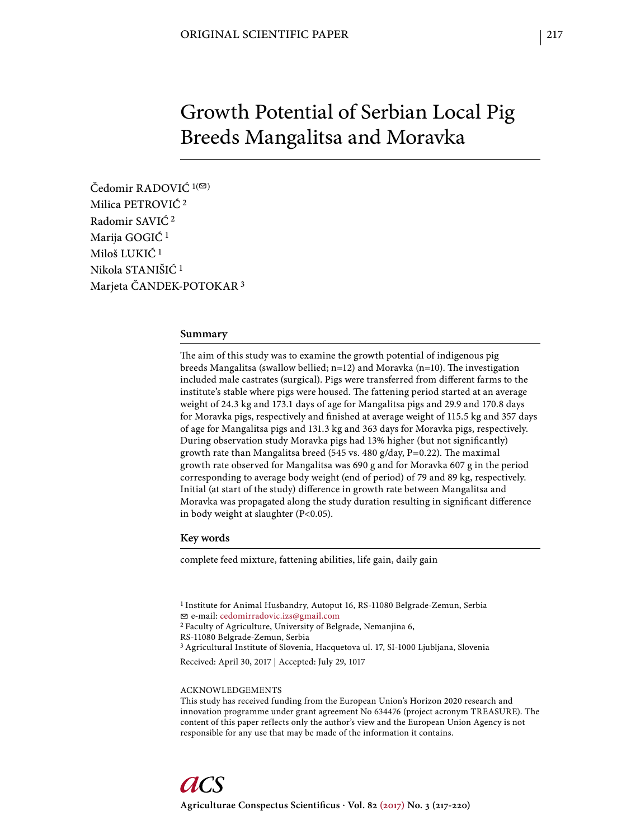# Growth Potential of Serbian Local Pig Breeds Mangalitsa and Moravka

Čedomir RADOVIĆ<sup>1(⊠)</sup> Milica PETROVIĆ 2 Radomir SAVIĆ 2 Marija GOGIĆ 1 Miloš LUKIĆ 1 Nikola STANIŠIĆ 1 Marjeta ČANDEK-POTOKAR 3

### **Summary**

The aim of this study was to examine the growth potential of indigenous pig breeds Mangalitsa (swallow bellied;  $n=12$ ) and Moravka ( $n=10$ ). The investigation included male castrates (surgical). Pigs were transferred from different farms to the institute's stable where pigs were housed. The fattening period started at an average weight of 24.3 kg and 173.1 days of age for Mangalitsa pigs and 29.9 and 170.8 days for Moravka pigs, respectively and finished at average weight of 115.5 kg and 357 days of age for Mangalitsa pigs and 131.3 kg and 363 days for Moravka pigs, respectively. During observation study Moravka pigs had 13% higher (but not significantly) growth rate than Mangalitsa breed (545 vs. 480 g/day, P=0.22). The maximal growth rate observed for Mangalitsa was 690 g and for Moravka 607 g in the period corresponding to average body weight (end of period) of 79 and 89 kg, respectively. Initial (at start of the study) difference in growth rate between Mangalitsa and Moravka was propagated along the study duration resulting in significant difference in body weight at slaughter (P<0.05).

### **Key words**

complete feed mixture, fattening abilities, life gain, daily gain

1 Institute for Animal Husbandry, Autoput 16, RS-11080 Belgrade-Zemun, Serbia e-mail: cedomirradovic.izs@gmail.com 2 Faculty of Agriculture, University of Belgrade, Nemanjina 6, RS-11080 Belgrade-Zemun, Serbia 3 Agricultural Institute of Slovenia, Hacquetova ul. 17, SI-1000 Ljubljana, Slovenia Received: April 30, 2017 | Accepted: July 29, 1017

#### ACKNOWLEDGEMENTS

This study has received funding from the European Union's Horizon 2020 research and innovation programme under grant agreement No 634476 (project acronym TREASURE). The content of this paper reflects only the author's view and the European Union Agency is not responsible for any use that may be made of the information it contains.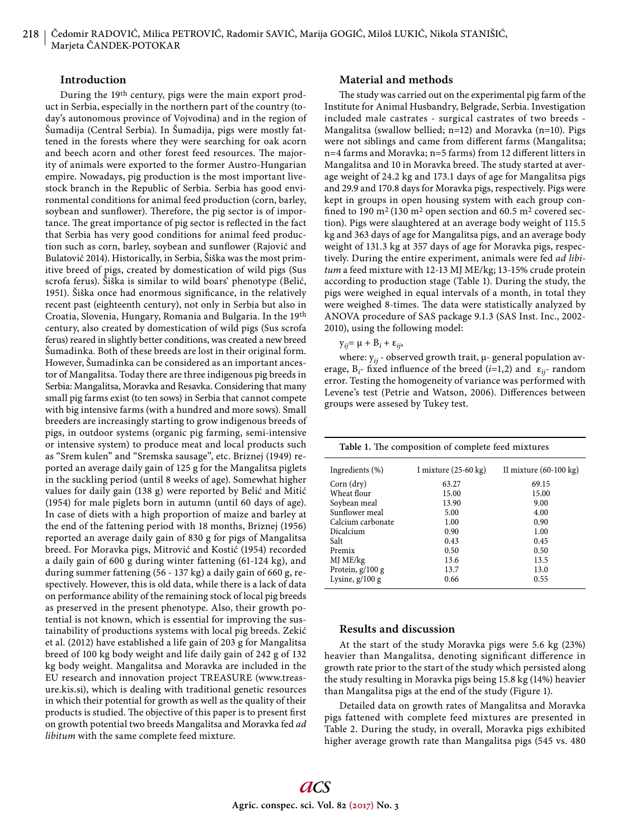# **Introduction**

During the 19th century, pigs were the main export product in Serbia, especially in the northern part of the country (today's autonomous province of Vojvodina) and in the region of Šumadija (Central Serbia). In Šumadija, pigs were mostly fattened in the forests where they were searching for oak acorn and beech acorn and other forest feed resources. The majority of animals were exported to the former Austro-Hungarian empire. Nowadays, pig production is the most important livestock branch in the Republic of Serbia. Serbia has good environmental conditions for animal feed production (corn, barley, soybean and sunflower). Therefore, the pig sector is of importance. The great importance of pig sector is reflected in the fact that Serbia has very good conditions for animal feed production such as corn, barley, soybean and sunflower (Rajović and Bulatović 2014). Historically, in Serbia, Šiška was the most primitive breed of pigs, created by domestication of wild pigs (Sus scrofa ferus). Šiška is similar to wild boars' phenotype (Belić, 1951). Šiška once had enormous significance, in the relatively recent past (eighteenth century), not only in Serbia but also in Croatia, Slovenia, Hungary, Romania and Bulgaria. In the 19th century, also created by domestication of wild pigs (Sus scrofa ferus) reared in slightly better conditions, was created a new breed Šumadinka. Both of these breeds are lost in their original form. However, Šumadinka can be considered as an important ancestor of Mangalitsa. Today there are three indigenous pig breeds in Serbia: Mangalitsa, Moravka and Resavka. Considering that many small pig farms exist (to ten sows) in Serbia that cannot compete with big intensive farms (with a hundred and more sows). Small breeders are increasingly starting to grow indigenous breeds of pigs, in outdoor systems (organic pig farming, semi-intensive or intensive system) to produce meat and local products such as "Srem kulen" and "Sremska sausage", etc. Briznej (1949) reported an average daily gain of 125 g for the Mangalitsa piglets in the suckling period (until 8 weeks of age). Somewhat higher values for daily gain (138 g) were reported by Belić and Mitić (1954) for male piglets born in autumn (until 60 days of age). In case of diets with a high proportion of maize and barley at the end of the fattening period with 18 months, Briznej (1956) reported an average daily gain of 830 g for pigs of Mangalitsa breed. For Moravka pigs, Mitrović and Kostić (1954) recorded a daily gain of 600 g during winter fattening (61-124 kg), and during summer fattening (56 - 137 kg) a daily gain of 660 g, respectively. However, this is old data, while there is a lack of data on performance ability of the remaining stock of local pig breeds as preserved in the present phenotype. Also, their growth potential is not known, which is essential for improving the sustainability of productions systems with local pig breeds. Zekić et al. (2012) have established a life gain of 203 g for Mangalitsa breed of 100 kg body weight and life daily gain of 242 g of 132 kg body weight. Mangalitsa and Moravka are included in the EU research and innovation project TREASURE (www.treasure.kis.si), which is dealing with traditional genetic resources in which their potential for growth as well as the quality of their products is studied. The objective of this paper is to present first on growth potential two breeds Mangalitsa and Moravka fed *ad libitum* with the same complete feed mixture.

## **Material and methods**

The study was carried out on the experimental pig farm of the Institute for Animal Husbandry, Belgrade, Serbia. Investigation included male castrates - surgical castrates of two breeds - Mangalitsa (swallow bellied; n=12) and Moravka (n=10). Pigs were not siblings and came from different farms (Mangalitsa;  $n=4$  farms and Moravka;  $n=5$  farms) from 12 different litters in Mangalitsa and 10 in Moravka breed. The study started at average weight of 24.2 kg and 173.1 days of age for Mangalitsa pigs and 29.9 and 170.8 days for Moravka pigs, respectively. Pigs were kept in groups in open housing system with each group confined to 190 m<sup>2</sup> (130 m<sup>2</sup> open section and 60.5 m<sup>2</sup> covered section). Pigs were slaughtered at an average body weight of 115.5 kg and 363 days of age for Mangalitsa pigs, and an average body weight of 131.3 kg at 357 days of age for Moravka pigs, respectively. During the entire experiment, animals were fed *ad libitum* a feed mixture with 12-13 MJ ME/kg; 13-15% crude protein according to production stage (Table 1). During the study, the pigs were weighed in equal intervals of a month, in total they were weighed 8-times. The data were statistically analyzed by ANOVA procedure of SAS package 9.1.3 (SAS Inst. Inc., 2002- 2010), using the following model:

*y<sub>ij</sub>*=  $\mu$  +  $B_i$  + ε<sub>*ij*</sub>,

where: y*ij* - observed growth trait, μ- general population average,  $B_i$ - fixed influence of the breed (*i*=1,2) and  $\varepsilon_{ij}$ - random error. Testing the homogeneity of variance was performed with Levene's test (Petrie and Watson, 2006). Differences between groups were assesed by Tukey test.

| Table 1. The composition of complete feed mixtures |                                |                                  |  |  |  |  |  |  |
|----------------------------------------------------|--------------------------------|----------------------------------|--|--|--|--|--|--|
| Ingredients $(\%)$                                 | I mixture $(25-60 \text{ kg})$ | II mixture $(60-100 \text{ kg})$ |  |  |  |  |  |  |
| Corn (dry)                                         | 63.27                          | 69.15                            |  |  |  |  |  |  |
| Wheat flour                                        | 15.00                          | 15.00                            |  |  |  |  |  |  |
| Soybean meal                                       | 13.90                          | 9.00                             |  |  |  |  |  |  |
| Sunflower meal                                     | 5.00                           | 4.00                             |  |  |  |  |  |  |
| Calcium carbonate                                  | 1.00                           | 0.90                             |  |  |  |  |  |  |
| Dicalcium                                          | 0.90                           | 1.00                             |  |  |  |  |  |  |
| Salt                                               | 0.43                           | 0.45                             |  |  |  |  |  |  |
| Premix                                             | 0.50                           | 0.50                             |  |  |  |  |  |  |
| MJ ME/kg                                           | 13.6                           | 13.5                             |  |  |  |  |  |  |
| Protein, $g/100 g$                                 | 13.7                           | 13.0                             |  |  |  |  |  |  |
| Lysine, $g/100 g$                                  | 0.66                           | 0.55                             |  |  |  |  |  |  |

## **Results and discussion**

At the start of the study Moravka pigs were 5.6 kg (23%) heavier than Mangalitsa, denoting significant difference in growth rate prior to the start of the study which persisted along the study resulting in Moravka pigs being 15.8 kg (14%) heavier than Mangalitsa pigs at the end of the study (Figure 1).

Detailed data on growth rates of Mangalitsa and Moravka pigs fattened with complete feed mixtures are presented in Table 2. During the study, in overall, Moravka pigs exhibited higher average growth rate than Mangalitsa pigs (545 vs. 480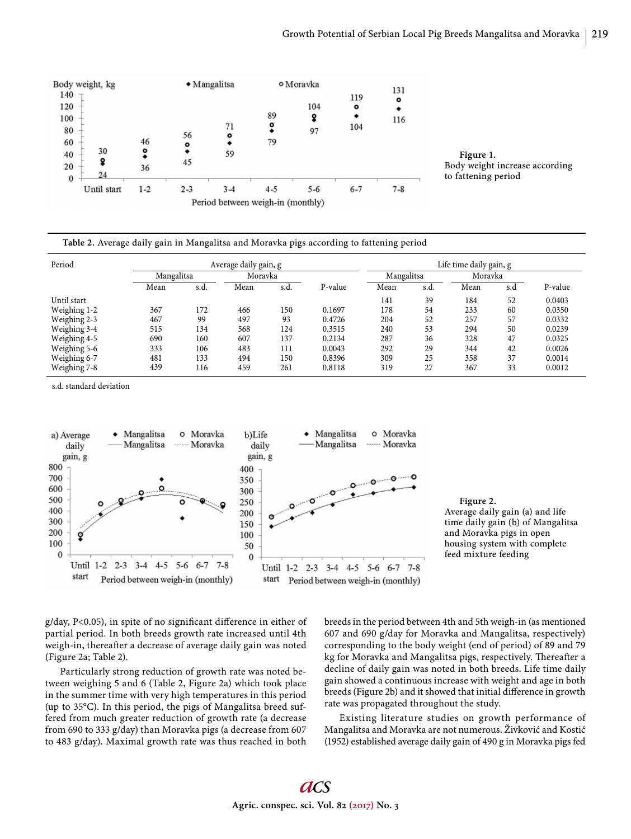

**Figure 1.**  Body weight increase according to fattening period

| Table 2. Average daily gain in Mangalitsa and Moravka pigs according to fattening period |  |
|------------------------------------------------------------------------------------------|--|
|                                                                                          |  |

| Period       | Average daily gain, g |      |         |      |         | Life time daily gain, g |      |         |     |         |
|--------------|-----------------------|------|---------|------|---------|-------------------------|------|---------|-----|---------|
|              | Mangalitsa            |      | Moravka |      |         | Mangalitsa              |      | Moravka |     |         |
|              | Mean                  | s.d. | Mean    | s.d. | P-value | Mean                    | s.d. | Mean    | s.d | P-value |
| Until start  |                       |      |         |      |         | 141                     | 39   | 184     | 52  | 0.0403  |
| Weighing 1-2 | 367                   | 172  | 466     | 150  | 0.1697  | 178                     | 54   | 233     | 60  | 0.0350  |
| Weighing 2-3 | 467                   | 99   | 497     | 93   | 0.4726  | 204                     | 52   | 257     | 57  | 0.0332  |
| Weighing 3-4 | 515                   | 134  | 568     | 124  | 0.3515  | 240                     | 53   | 294     | 50  | 0.0239  |
| Weighing 4-5 | 690                   | 160  | 607     | 137  | 0.2134  | 287                     | 36   | 328     | 47  | 0.0325  |
| Weighing 5-6 | 333                   | 106  | 483     | 111  | 0.0043  | 292                     | 29   | 344     | 42  | 0.0026  |
| Weighing 6-7 | 481                   | 133  | 494     | 150  | 0.8396  | 309                     | 25   | 358     | 37  | 0.0014  |
| Weighing 7-8 | 439                   | 116  | 459     | 261  | 0.8118  | 319                     | 27   | 367     | 33  | 0.0012  |

s.d. standard deviation





 $g/day$ , P<0.05), in spite of no significant difference in either of partial period. In both breeds growth rate increased until 4th weigh-in, thereafter a decrease of average daily gain was noted (Figure 2a; Table 2).

Particularly strong reduction of growth rate was noted between weighing 5 and 6 (Table 2, Figure 2a) which took place in the summer time with very high temperatures in this period (up to 35°C). In this period, the pigs of Mangalitsa breed suffered from much greater reduction of growth rate (a decrease from 690 to 333 g/day) than Moravka pigs (a decrease from 607 to 483 g/day). Maximal growth rate was thus reached in both breeds in the period between 4th and 5th weigh-in (as mentioned 607 and 690 g/day for Moravka and Mangalitsa, respectively) corresponding to the body weight (end of period) of 89 and 79 kg for Moravka and Mangalitsa pigs, respectively. Thereafter a decline of daily gain was noted in both breeds. Life time daily gain showed a continuous increase with weight and age in both breeds (Figure 2b) and it showed that initial difference in growth rate was propagated throughout the study.

Existing literature studies on growth performance of Mangalitsa and Moravka are not numerous. Živković and Kostić (1952) established average daily gain of 490 g in Moravka pigs fed